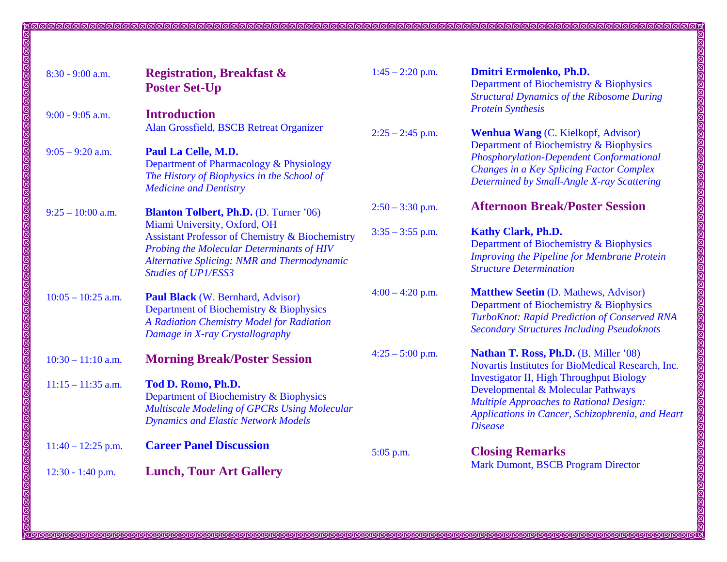| $8:30 - 9:00$ a.m.   | <b>Registration, Breakfast &amp;</b><br><b>Poster Set-Up</b>                                                                                                                                                                | $1:45 - 2:20$ p.m. | Dmitri Ermolenko, Ph.D.<br>Department of Biochemistry & Biophysics<br><b>Structural Dynamics of the Ribosome During</b>                                                                                       |
|----------------------|-----------------------------------------------------------------------------------------------------------------------------------------------------------------------------------------------------------------------------|--------------------|---------------------------------------------------------------------------------------------------------------------------------------------------------------------------------------------------------------|
| $9:00 - 9:05$ a.m.   | <b>Introduction</b><br>Alan Grossfield, BSCB Retreat Organizer                                                                                                                                                              | $2:25 - 2:45$ p.m. | <b>Protein Synthesis</b><br><b>Wenhua Wang</b> (C. Kielkopf, Advisor)                                                                                                                                         |
| $9:05 - 9:20$ a.m.   | <b>Paul La Celle, M.D.</b><br>Department of Pharmacology & Physiology<br>The History of Biophysics in the School of<br><b>Medicine and Dentistry</b>                                                                        |                    | Department of Biochemistry & Biophysics<br><b>Phosphorylation-Dependent Conformational</b><br>Changes in a Key Splicing Factor Complex<br>Determined by Small-Angle X-ray Scattering                          |
| $9:25 - 10:00$ a.m.  | <b>Blanton Tolbert, Ph.D.</b> (D. Turner '06)                                                                                                                                                                               | $2:50 - 3:30$ p.m. | <b>Afternoon Break/Poster Session</b>                                                                                                                                                                         |
|                      | Miami University, Oxford, OH<br><b>Assistant Professor of Chemistry &amp; Biochemistry</b><br>Probing the Molecular Determinants of HIV<br><b>Alternative Splicing: NMR and Thermodynamic</b><br><b>Studies of UP1/ESS3</b> | $3:35 - 3:55$ p.m. | <b>Kathy Clark, Ph.D.</b><br>Department of Biochemistry & Biophysics<br><b>Improving the Pipeline for Membrane Protein</b><br><b>Structure Determination</b>                                                  |
| $10:05 - 10:25$ a.m. | Paul Black (W. Bernhard, Advisor)<br>Department of Biochemistry & Biophysics<br>A Radiation Chemistry Model for Radiation<br>Damage in X-ray Crystallography                                                                | $4:00 - 4:20$ p.m. | <b>Matthew Seetin (D. Mathews, Advisor)</b><br>Department of Biochemistry & Biophysics<br>TurboKnot: Rapid Prediction of Conserved RNA<br><b>Secondary Structures Including Pseudoknots</b>                   |
| $10:30 - 11:10$ a.m. | <b>Morning Break/Poster Session</b>                                                                                                                                                                                         | $4:25 - 5:00$ p.m. | Nathan T. Ross, Ph.D. (B. Miller '08)<br>Novartis Institutes for BioMedical Research, Inc.                                                                                                                    |
| $11:15 - 11:35$ a.m. | Tod D. Romo, Ph.D.<br>Department of Biochemistry & Biophysics<br><b>Multiscale Modeling of GPCRs Using Molecular</b><br><b>Dynamics and Elastic Network Models</b>                                                          |                    | <b>Investigator II, High Throughput Biology</b><br>Developmental & Molecular Pathways<br><b>Multiple Approaches to Rational Design:</b><br>Applications in Cancer, Schizophrenia, and Heart<br><b>Disease</b> |
| $11:40 - 12:25$ p.m. | <b>Career Panel Discussion</b>                                                                                                                                                                                              | 5:05 p.m.          | <b>Closing Remarks</b>                                                                                                                                                                                        |
| 12:30 - 1:40 p.m.    | <b>Lunch, Tour Art Gallery</b>                                                                                                                                                                                              |                    | Mark Dumont, BSCB Program Director                                                                                                                                                                            |